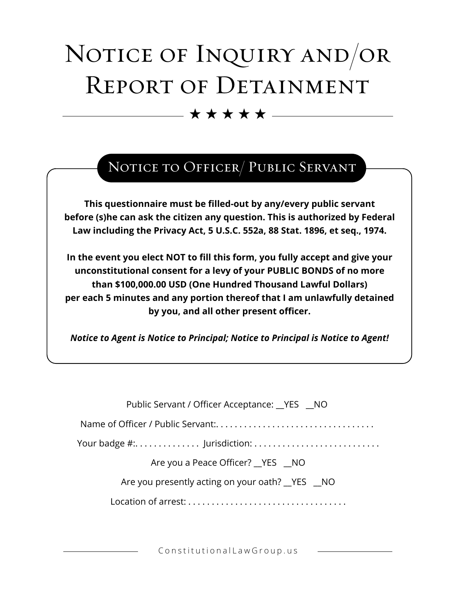## NOTICE OF INQUIRY AND/OR REPORT OF DETAINMENT

 $\star \star \star \star \star -$ 

## NOTICE TO OFFICER/ PUBLIC SERVANT

**This questionnaire must be filled-out by any/every public servant before (s)he can ask the citizen any question. This is authorized by Federal Law including the Privacy Act, 5 U.S.C. 552a, 88 Stat. 1896, et seq., 1974.** 

**In the event you elect NOT to fill this form, you fully accept and give your unconstitutional consent for a levy of your PUBLIC BONDS of no more than \$100,000.00 USD (One Hundred Thousand Lawful Dollars) per each 5 minutes and any portion thereof that I am unlawfully detained by you, and all other present officer.** 

*Notice to Agent is Notice to Principal; Notice to Principal is Notice to Agent!*

| Public Servant / Officer Acceptance: YES NO           |
|-------------------------------------------------------|
|                                                       |
|                                                       |
| Are you a Peace Officer? __ YES __ NO                 |
| Are you presently acting on your oath? ___ YES ___ NO |
|                                                       |

ConstitutionalLawGroup.us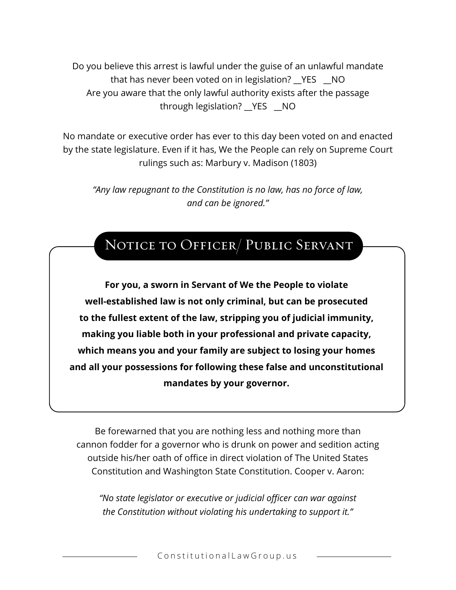Do you believe this arrest is lawful under the guise of an unlawful mandate that has never been voted on in legislation? \_\_YES \_\_NO Are you aware that the only lawful authority exists after the passage through legislation? \_\_YES \_\_NO

No mandate or executive order has ever to this day been voted on and enacted by the state legislature. Even if it has, We the People can rely on Supreme Court rulings such as: Marbury v. Madison (1803)

*"Any law repugnant to the Constitution is no law, has no force of law, and can be ignored."* 

## NOTICE TO OFFICER/ PUBLIC SERVANT

**For you, a sworn in Servant of We the People to violate well-established law is not only criminal, but can be prosecuted to the fullest extent of the law, stripping you of judicial immunity, making you liable both in your professional and private capacity, which means you and your family are subject to losing your homes and all your possessions for following these false and unconstitutional mandates by your governor.** 

Be forewarned that you are nothing less and nothing more than cannon fodder for a governor who is drunk on power and sedition acting outside his/her oath of office in direct violation of The United States Constitution and Washington State Constitution. Cooper v. Aaron:

*"No state legislator or executive or judicial officer can war against the Constitution without violating his undertaking to support it."*